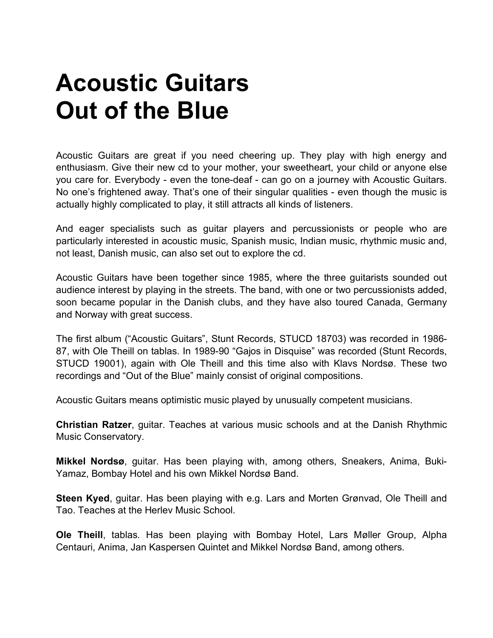## **Acoustic Guitars Out of the Blue**

Acoustic Guitars are great if you need cheering up. They play with high energy and enthusiasm. Give their new cd to your mother, your sweetheart, your child or anyone else you care for. Everybody - even the tone-deaf - can go on a journey with Acoustic Guitars. No one's frightened away. That's one of their singular qualities - even though the music is actually highly complicated to play, it still attracts all kinds of listeners.

And eager specialists such as guitar players and percussionists or people who are particularly interested in acoustic music, Spanish music, Indian music, rhythmic music and, not least, Danish music, can also set out to explore the cd.

Acoustic Guitars have been together since 1985, where the three guitarists sounded out audience interest by playing in the streets. The band, with one or two percussionists added, soon became popular in the Danish clubs, and they have also toured Canada, Germany and Norway with great success.

The first album ("Acoustic Guitars", Stunt Records, STUCD 18703) was recorded in 1986- 87, with Ole Theill on tablas. In 1989-90 "Gajos in Disquise" was recorded (Stunt Records, STUCD 19001), again with Ole Theill and this time also with Klavs Nordsø. These two recordings and "Out of the Blue" mainly consist of original compositions.

Acoustic Guitars means optimistic music played by unusually competent musicians.

**Christian Ratzer**, guitar. Teaches at various music schools and at the Danish Rhythmic Music Conservatory.

**Mikkel Nordsø**, guitar. Has been playing with, among others, Sneakers, Anima, Buki-Yamaz, Bombay Hotel and his own Mikkel Nordsø Band.

**Steen Kyed**, guitar. Has been playing with e.g. Lars and Morten Grønvad, Ole Theill and Tao. Teaches at the Herlev Music School.

**Ole Theill**, tablas. Has been playing with Bombay Hotel, Lars Møller Group, Alpha Centauri, Anima, Jan Kaspersen Quintet and Mikkel Nordsø Band, among others.